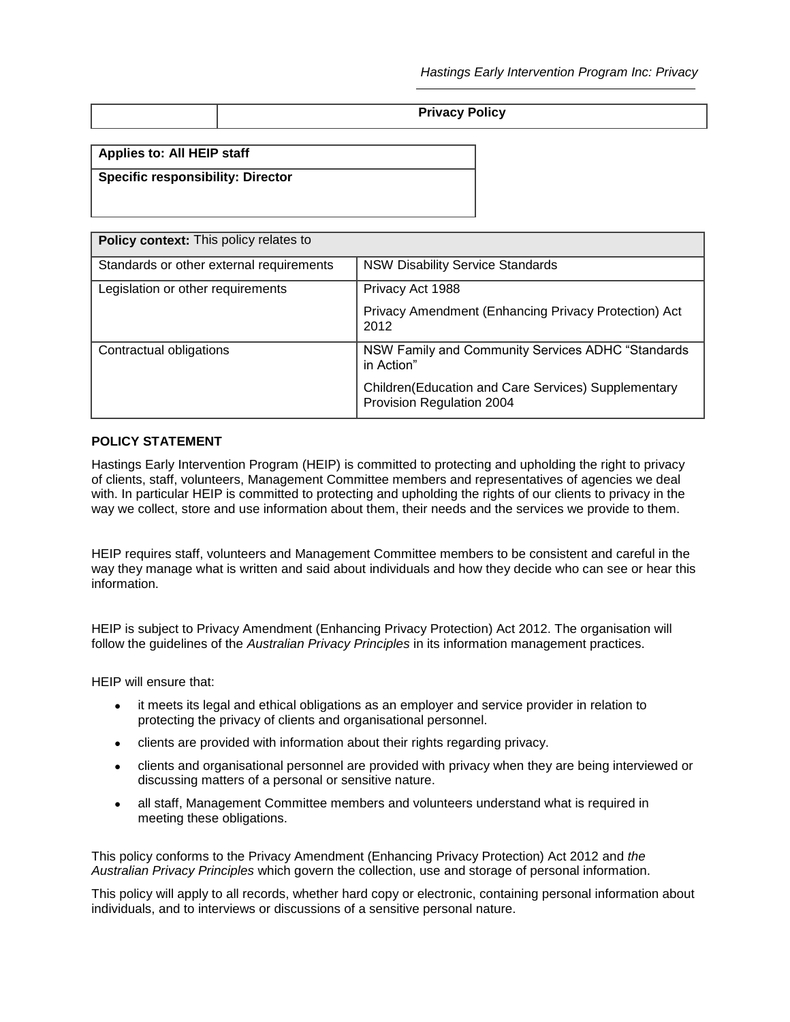| <b>Privacy Policy</b> |
|-----------------------|
|-----------------------|

**Applies to: All HEIP staff**

## **Specific responsibility: Director**

| <b>Policy context:</b> This policy relates to |                                                                                  |  |  |  |
|-----------------------------------------------|----------------------------------------------------------------------------------|--|--|--|
| Standards or other external requirements      | <b>NSW Disability Service Standards</b>                                          |  |  |  |
| Legislation or other requirements             | Privacy Act 1988<br>Privacy Amendment (Enhancing Privacy Protection) Act<br>2012 |  |  |  |
| Contractual obligations                       | NSW Family and Community Services ADHC "Standards<br>in Action"                  |  |  |  |
|                                               | Children(Education and Care Services) Supplementary<br>Provision Regulation 2004 |  |  |  |

### **POLICY STATEMENT**

Hastings Early Intervention Program (HEIP) is committed to protecting and upholding the right to privacy of clients, staff, volunteers, Management Committee members and representatives of agencies we deal with. In particular HEIP is committed to protecting and upholding the rights of our clients to privacy in the way we collect, store and use information about them, their needs and the services we provide to them.

HEIP requires staff, volunteers and Management Committee members to be consistent and careful in the way they manage what is written and said about individuals and how they decide who can see or hear this information.

HEIP is subject to Privacy Amendment (Enhancing Privacy Protection) Act 2012. The organisation will follow the guidelines of the *Australian Privacy Principles* in its information management practices.

HEIP will ensure that:

- it meets its legal and ethical obligations as an employer and service provider in relation to protecting the privacy of clients and organisational personnel.
- clients are provided with information about their rights regarding privacy.
- clients and organisational personnel are provided with privacy when they are being interviewed or discussing matters of a personal or sensitive nature.
- all staff, Management Committee members and volunteers understand what is required in meeting these obligations.

This policy conforms to the Privacy Amendment (Enhancing Privacy Protection) Act 2012 and *the Australian Privacy Principles* which govern the collection, use and storage of personal information.

This policy will apply to all records, whether hard copy or electronic, containing personal information about individuals, and to interviews or discussions of a sensitive personal nature.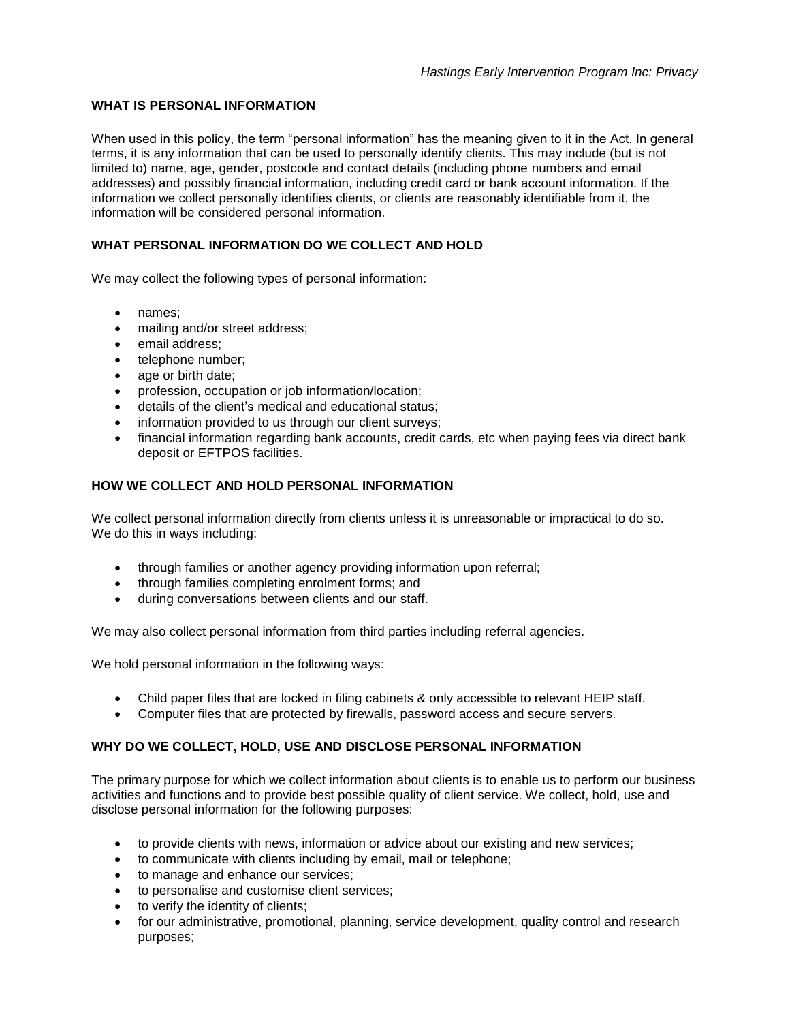## **WHAT IS PERSONAL INFORMATION**

When used in this policy, the term "personal information" has the meaning given to it in the Act. In general terms, it is any information that can be used to personally identify clients. This may include (but is not limited to) name, age, gender, postcode and contact details (including phone numbers and email addresses) and possibly financial information, including credit card or bank account information. If the information we collect personally identifies clients, or clients are reasonably identifiable from it, the information will be considered personal information.

## **WHAT PERSONAL INFORMATION DO WE COLLECT AND HOLD**

We may collect the following types of personal information:

- names:
- mailing and/or street address;
- email address:
- telephone number;
- age or birth date;
- profession, occupation or job information/location;
- details of the client's medical and educational status;
- information provided to us through our client surveys:
- financial information regarding bank accounts, credit cards, etc when paying fees via direct bank deposit or EFTPOS facilities.

## **HOW WE COLLECT AND HOLD PERSONAL INFORMATION**

We collect personal information directly from clients unless it is unreasonable or impractical to do so. We do this in ways including:

- through families or another agency providing information upon referral;
- through families completing enrolment forms; and
- during conversations between clients and our staff.

We may also collect personal information from third parties including referral agencies.

We hold personal information in the following ways:

- Child paper files that are locked in filing cabinets & only accessible to relevant HEIP staff.
- Computer files that are protected by firewalls, password access and secure servers.

### **WHY DO WE COLLECT, HOLD, USE AND DISCLOSE PERSONAL INFORMATION**

The primary purpose for which we collect information about clients is to enable us to perform our business activities and functions and to provide best possible quality of client service. We collect, hold, use and disclose personal information for the following purposes:

- to provide clients with news, information or advice about our existing and new services;
- to communicate with clients including by email, mail or telephone;
- to manage and enhance our services;
- to personalise and customise client services;
- to verify the identity of clients;
- for our administrative, promotional, planning, service development, quality control and research purposes;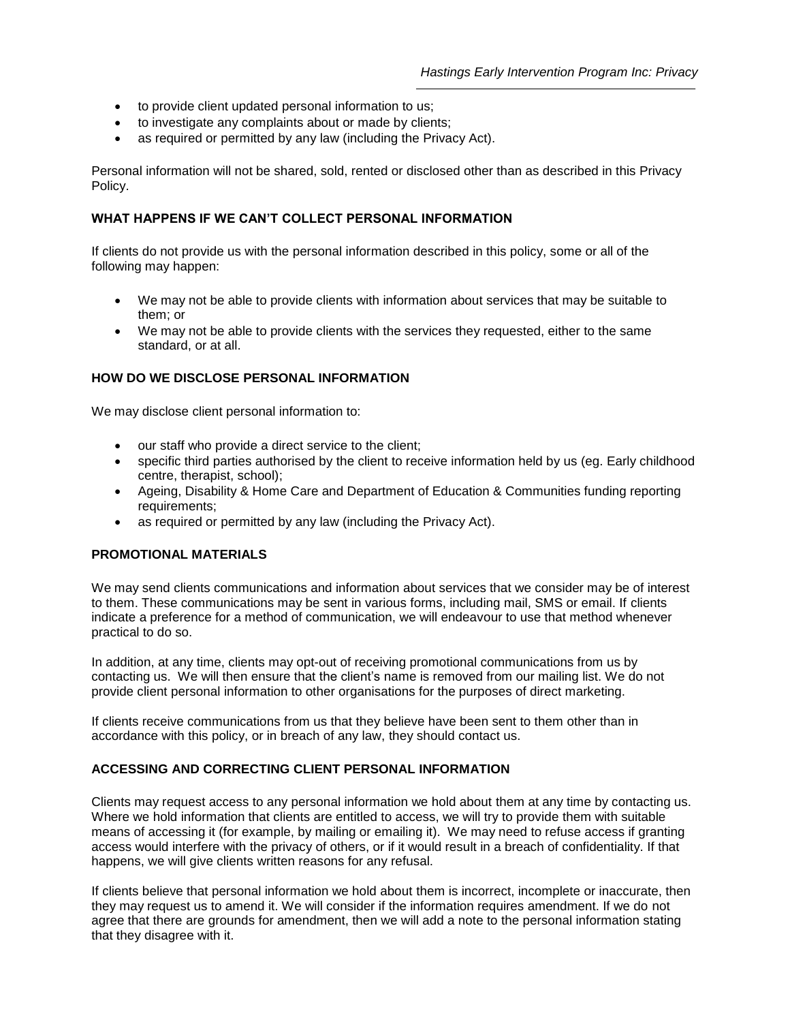- to provide client updated personal information to us;
- to investigate any complaints about or made by clients;
- as required or permitted by any law (including the Privacy Act).

Personal information will not be shared, sold, rented or disclosed other than as described in this Privacy Policy.

## **WHAT HAPPENS IF WE CAN'T COLLECT PERSONAL INFORMATION**

If clients do not provide us with the personal information described in this policy, some or all of the following may happen:

- We may not be able to provide clients with information about services that may be suitable to them; or
- We may not be able to provide clients with the services they requested, either to the same standard, or at all.

## **HOW DO WE DISCLOSE PERSONAL INFORMATION**

We may disclose client personal information to:

- our staff who provide a direct service to the client;
- specific third parties authorised by the client to receive information held by us (eg. Early childhood centre, therapist, school);
- Ageing, Disability & Home Care and Department of Education & Communities funding reporting requirements;
- as required or permitted by any law (including the Privacy Act).

### **PROMOTIONAL MATERIALS**

We may send clients communications and information about services that we consider may be of interest to them. These communications may be sent in various forms, including mail, SMS or email. If clients indicate a preference for a method of communication, we will endeavour to use that method whenever practical to do so.

In addition, at any time, clients may opt-out of receiving promotional communications from us by contacting us. We will then ensure that the client's name is removed from our mailing list. We do not provide client personal information to other organisations for the purposes of direct marketing.

If clients receive communications from us that they believe have been sent to them other than in accordance with this policy, or in breach of any law, they should contact us.

## **ACCESSING AND CORRECTING CLIENT PERSONAL INFORMATION**

Clients may request access to any personal information we hold about them at any time by contacting us. Where we hold information that clients are entitled to access, we will try to provide them with suitable means of accessing it (for example, by mailing or emailing it). We may need to refuse access if granting access would interfere with the privacy of others, or if it would result in a breach of confidentiality. If that happens, we will give clients written reasons for any refusal.

If clients believe that personal information we hold about them is incorrect, incomplete or inaccurate, then they may request us to amend it. We will consider if the information requires amendment. If we do not agree that there are grounds for amendment, then we will add a note to the personal information stating that they disagree with it.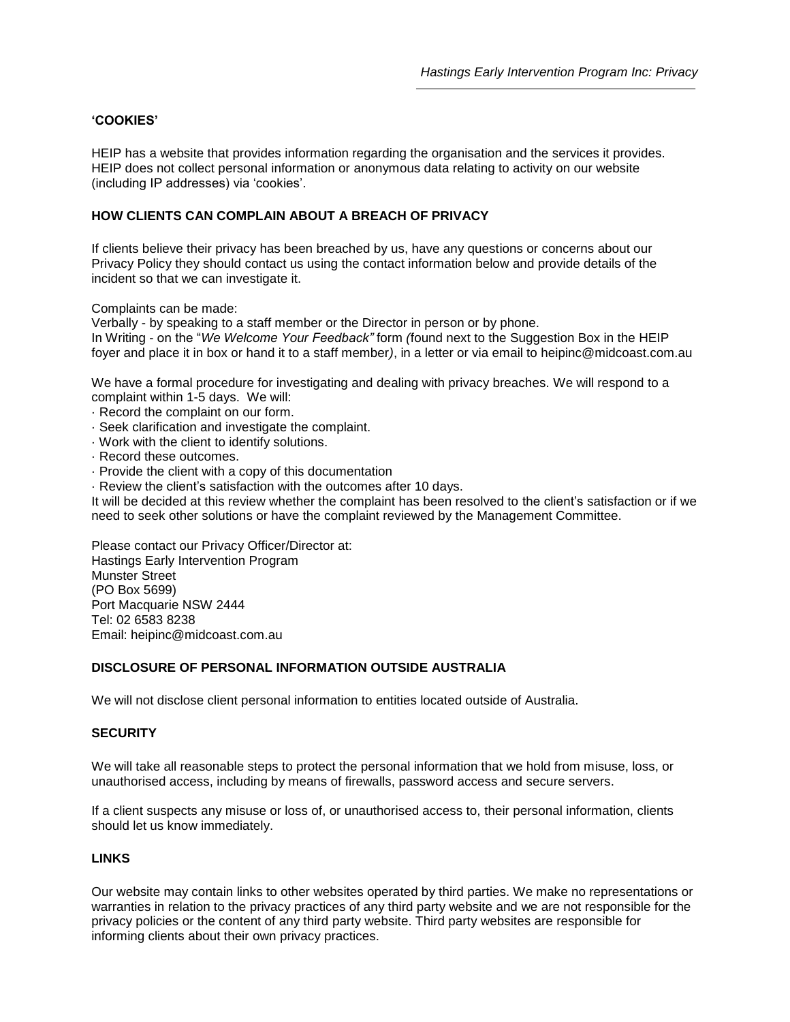# **'COOKIES'**

HEIP has a website that provides information regarding the organisation and the services it provides. HEIP does not collect personal information or anonymous data relating to activity on our website (including IP addresses) via 'cookies'.

## **HOW CLIENTS CAN COMPLAIN ABOUT A BREACH OF PRIVACY**

If clients believe their privacy has been breached by us, have any questions or concerns about our Privacy Policy they should contact us using the contact information below and provide details of the incident so that we can investigate it.

Complaints can be made:

Verbally - by speaking to a staff member or the Director in person or by phone. In Writing - on the "*We Welcome Your Feedback"* form *(*found next to the Suggestion Box in the HEIP

foyer and place it in box or hand it to a staff member*)*, in a letter or via email to heipinc@midcoast.com.au

We have a formal procedure for investigating and dealing with privacy breaches. We will respond to a complaint within 1-5 days. We will:

- · Record the complaint on our form.
- · Seek clarification and investigate the complaint.
- · Work with the client to identify solutions.
- · Record these outcomes.
- · Provide the client with a copy of this documentation
- · Review the client's satisfaction with the outcomes after 10 days.

It will be decided at this review whether the complaint has been resolved to the client's satisfaction or if we need to seek other solutions or have the complaint reviewed by the Management Committee.

Please contact our Privacy Officer/Director at: Hastings Early Intervention Program Munster Street (PO Box 5699) Port Macquarie NSW 2444 Tel: 02 6583 8238 Email: heipinc@midcoast.com.au

## **DISCLOSURE OF PERSONAL INFORMATION OUTSIDE AUSTRALIA**

We will not disclose client personal information to entities located outside of Australia.

### **SECURITY**

We will take all reasonable steps to protect the personal information that we hold from misuse, loss, or unauthorised access, including by means of firewalls, password access and secure servers.

If a client suspects any misuse or loss of, or unauthorised access to, their personal information, clients should let us know immediately.

### **LINKS**

Our website may contain links to other websites operated by third parties. We make no representations or warranties in relation to the privacy practices of any third party website and we are not responsible for the privacy policies or the content of any third party website. Third party websites are responsible for informing clients about their own privacy practices.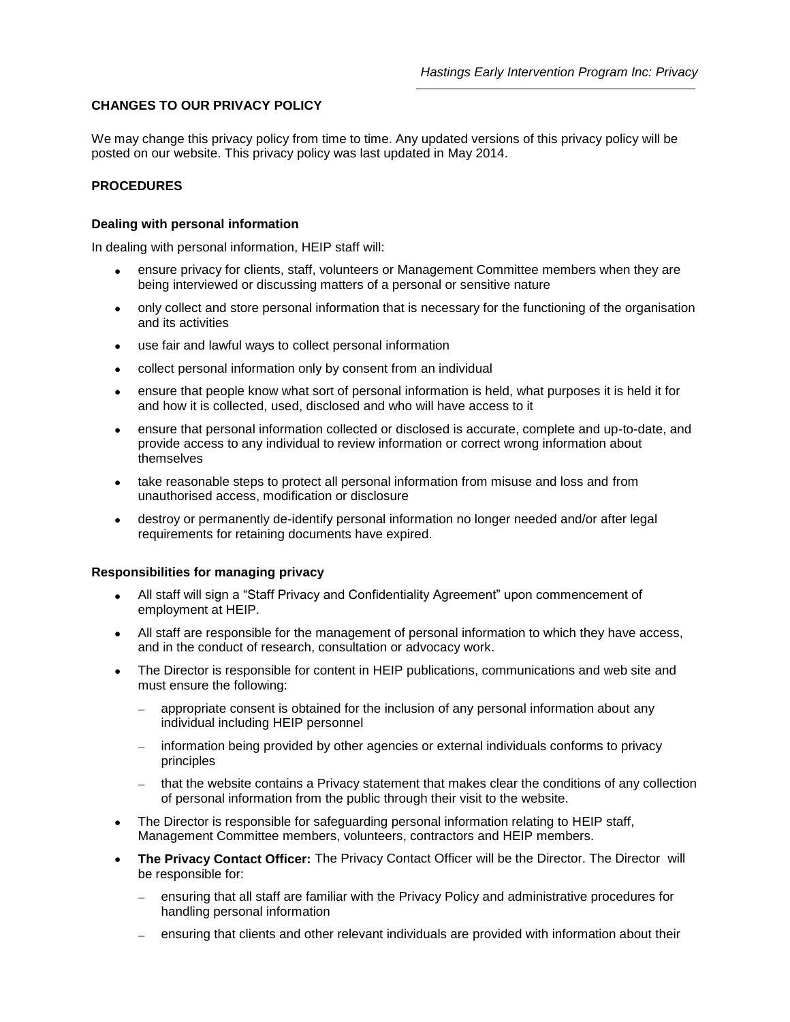## **CHANGES TO OUR PRIVACY POLICY**

We may change this privacy policy from time to time. Any updated versions of this privacy policy will be posted on our website. This privacy policy was last updated in May 2014.

## **PROCEDURES**

### **Dealing with personal information**

In dealing with personal information, HEIP staff will:

- ensure privacy for clients, staff, volunteers or Management Committee members when they are being interviewed or discussing matters of a personal or sensitive nature
- only collect and store personal information that is necessary for the functioning of the organisation and its activities
- use fair and lawful ways to collect personal information
- collect personal information only by consent from an individual
- ensure that people know what sort of personal information is held, what purposes it is held it for and how it is collected, used, disclosed and who will have access to it
- ensure that personal information collected or disclosed is accurate, complete and up-to-date, and provide access to any individual to review information or correct wrong information about themselves
- take reasonable steps to protect all personal information from misuse and loss and from unauthorised access, modification or disclosure
- destroy or permanently de-identify personal information no longer needed and/or after legal requirements for retaining documents have expired.

### **Responsibilities for managing privacy**

- All staff will sign a "Staff Privacy and Confidentiality Agreement" upon commencement of employment at HEIP.
- All staff are responsible for the management of personal information to which they have access, and in the conduct of research, consultation or advocacy work.
- The Director is responsible for content in HEIP publications, communications and web site and must ensure the following:
	- appropriate consent is obtained for the inclusion of any personal information about any individual including HEIP personnel
	- information being provided by other agencies or external individuals conforms to privacy principles
	- that the website contains a Privacy statement that makes clear the conditions of any collection of personal information from the public through their visit to the website.
- The Director is responsible for safeguarding personal information relating to HEIP staff, Management Committee members, volunteers, contractors and HEIP members.
- **The Privacy Contact Officer:** The Privacy Contact Officer will be the Director. The Director will be responsible for:
	- ensuring that all staff are familiar with the Privacy Policy and administrative procedures for handling personal information
	- ensuring that clients and other relevant individuals are provided with information about their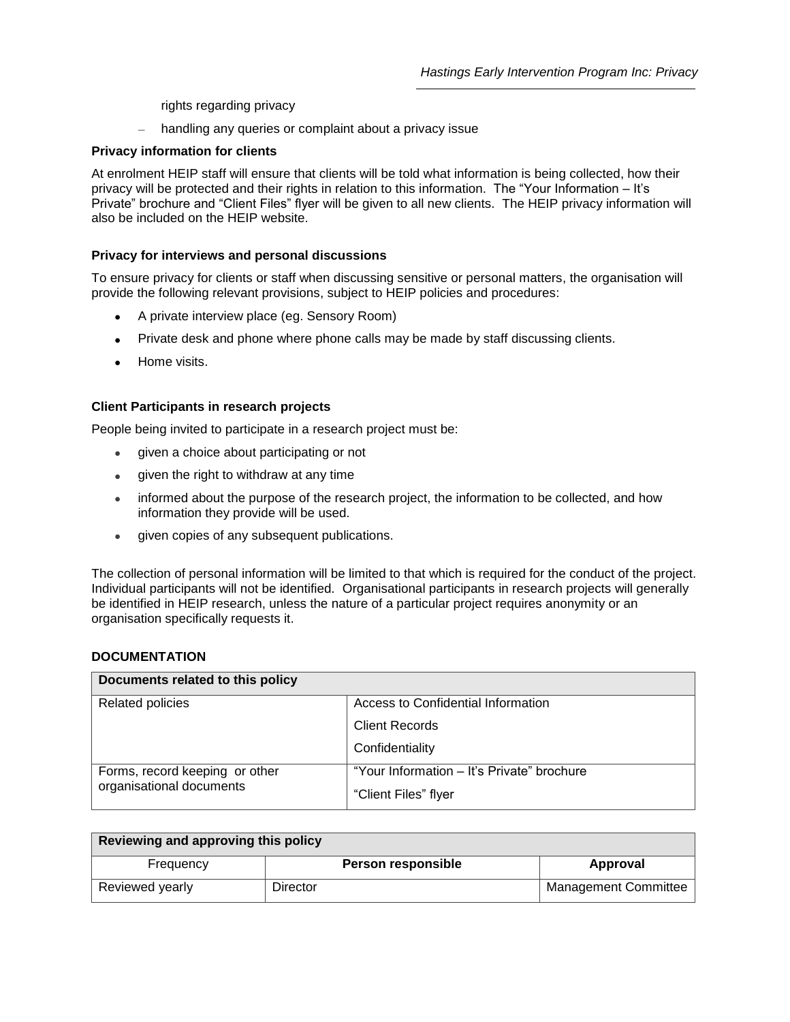rights regarding privacy

handling any queries or complaint about a privacy issue

## **Privacy information for clients**

At enrolment HEIP staff will ensure that clients will be told what information is being collected, how their privacy will be protected and their rights in relation to this information. The "Your Information – It's Private" brochure and "Client Files" flyer will be given to all new clients. The HEIP privacy information will also be included on the HEIP website.

### **Privacy for interviews and personal discussions**

To ensure privacy for clients or staff when discussing sensitive or personal matters, the organisation will provide the following relevant provisions, subject to HEIP policies and procedures:

- A private interview place (eg. Sensory Room)
- Private desk and phone where phone calls may be made by staff discussing clients.
- Home visits.

### **Client Participants in research projects**

People being invited to participate in a research project must be:

- given a choice about participating or not
- given the right to withdraw at any time
- informed about the purpose of the research project, the information to be collected, and how information they provide will be used.
- given copies of any subsequent publications.

The collection of personal information will be limited to that which is required for the conduct of the project. Individual participants will not be identified. Organisational participants in research projects will generally be identified in HEIP research, unless the nature of a particular project requires anonymity or an organisation specifically requests it.

### **DOCUMENTATION**

| Documents related to this policy                           |                                            |  |  |  |  |
|------------------------------------------------------------|--------------------------------------------|--|--|--|--|
| <b>Related policies</b>                                    | Access to Confidential Information         |  |  |  |  |
|                                                            | <b>Client Records</b>                      |  |  |  |  |
|                                                            | Confidentiality                            |  |  |  |  |
| Forms, record keeping or other<br>organisational documents | "Your Information - It's Private" brochure |  |  |  |  |
|                                                            | "Client Files" flyer                       |  |  |  |  |

| Reviewing and approving this policy |                    |                             |  |  |  |
|-------------------------------------|--------------------|-----------------------------|--|--|--|
| Frequency                           | Person responsible | Approval                    |  |  |  |
| Reviewed yearly                     | Director           | <b>Management Committee</b> |  |  |  |